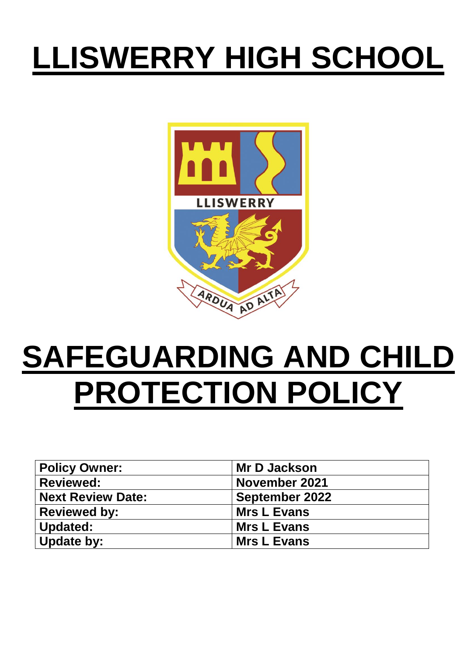# **LLISWERRY HIGH SCHOOL**



# **SAFEGUARDING AND CHILD PROTECTION POLICY**

| <b>Policy Owner:</b>     | <b>Mr D Jackson</b>   |
|--------------------------|-----------------------|
| <b>Reviewed:</b>         | November 2021         |
| <b>Next Review Date:</b> | <b>September 2022</b> |
| <b>Reviewed by:</b>      | <b>Mrs L Evans</b>    |
| Updated:                 | <b>Mrs L Evans</b>    |
| Update by:               | <b>Mrs L Evans</b>    |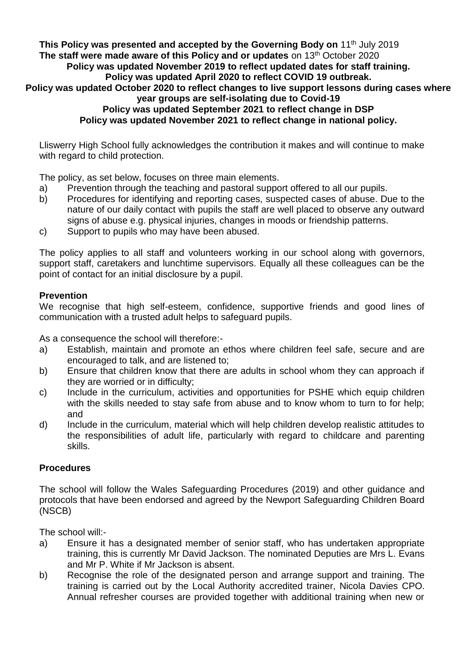**This Policy was presented and accepted by the Governing Body on 11<sup>th</sup> July 2019 The staff were made aware of this Policy and or updates** on 13<sup>th</sup> October 2020 **Policy was updated November 2019 to reflect updated dates for staff training.**

# **Policy was updated April 2020 to reflect COVID 19 outbreak.**

**Policy was updated October 2020 to reflect changes to live support lessons during cases where year groups are self-isolating due to Covid-19**

**Policy was updated September 2021 to reflect change in DSP**

**Policy was updated November 2021 to reflect change in national policy.**

Lliswerry High School fully acknowledges the contribution it makes and will continue to make with regard to child protection.

The policy, as set below, focuses on three main elements.

- a) Prevention through the teaching and pastoral support offered to all our pupils.
- b) Procedures for identifying and reporting cases, suspected cases of abuse. Due to the nature of our daily contact with pupils the staff are well placed to observe any outward signs of abuse e.g. physical injuries, changes in moods or friendship patterns.
- c) Support to pupils who may have been abused.

The policy applies to all staff and volunteers working in our school along with governors, support staff, caretakers and lunchtime supervisors. Equally all these colleagues can be the point of contact for an initial disclosure by a pupil.

# **Prevention**

We recognise that high self-esteem, confidence, supportive friends and good lines of communication with a trusted adult helps to safeguard pupils.

As a consequence the school will therefore:-

- a) Establish, maintain and promote an ethos where children feel safe, secure and are encouraged to talk, and are listened to;
- b) Ensure that children know that there are adults in school whom they can approach if they are worried or in difficulty;
- c) Include in the curriculum, activities and opportunities for PSHE which equip children with the skills needed to stay safe from abuse and to know whom to turn to for help; and
- d) Include in the curriculum, material which will help children develop realistic attitudes to the responsibilities of adult life, particularly with regard to childcare and parenting skills.

# **Procedures**

The school will follow the Wales Safeguarding Procedures (2019) and other guidance and protocols that have been endorsed and agreed by the Newport Safeguarding Children Board (NSCB)

The school will:-

- a) Ensure it has a designated member of senior staff, who has undertaken appropriate training, this is currently Mr David Jackson. The nominated Deputies are Mrs L. Evans and Mr P. White if Mr Jackson is absent.
- b) Recognise the role of the designated person and arrange support and training. The training is carried out by the Local Authority accredited trainer, Nicola Davies CPO. Annual refresher courses are provided together with additional training when new or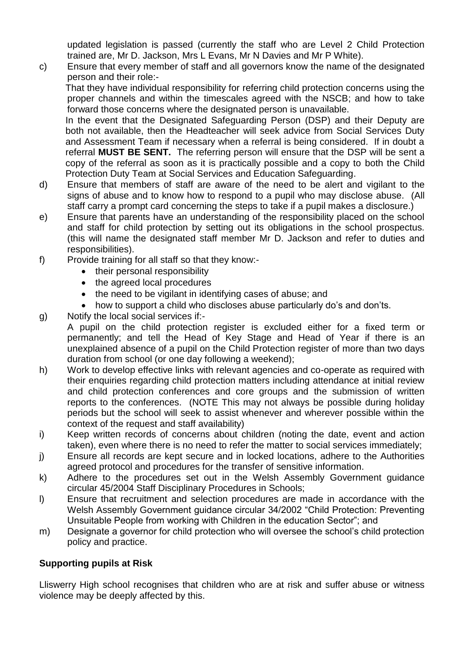updated legislation is passed (currently the staff who are Level 2 Child Protection trained are, Mr D. Jackson, Mrs L Evans, Mr N Davies and Mr P White).

c) Ensure that every member of staff and all governors know the name of the designated person and their role:-

That they have individual responsibility for referring child protection concerns using the proper channels and within the timescales agreed with the NSCB; and how to take forward those concerns where the designated person is unavailable.

In the event that the Designated Safeguarding Person (DSP) and their Deputy are both not available, then the Headteacher will seek advice from Social Services Duty and Assessment Team if necessary when a referral is being considered. If in doubt a referral **MUST BE SENT.** The referring person will ensure that the DSP will be sent a copy of the referral as soon as it is practically possible and a copy to both the Child Protection Duty Team at Social Services and Education Safeguarding.

- d) Ensure that members of staff are aware of the need to be alert and vigilant to the signs of abuse and to know how to respond to a pupil who may disclose abuse. (All staff carry a prompt card concerning the steps to take if a pupil makes a disclosure.)
- e) Ensure that parents have an understanding of the responsibility placed on the school and staff for child protection by setting out its obligations in the school prospectus. (this will name the designated staff member Mr D. Jackson and refer to duties and responsibilities).
- f) Provide training for all staff so that they know:-
	- their personal responsibility
	- the agreed local procedures
	- the need to be vigilant in identifying cases of abuse; and
	- how to support a child who discloses abuse particularly do's and don'ts.
- g) Notify the local social services if:-

A pupil on the child protection register is excluded either for a fixed term or permanently; and tell the Head of Key Stage and Head of Year if there is an unexplained absence of a pupil on the Child Protection register of more than two days duration from school (or one day following a weekend);

- h) Work to develop effective links with relevant agencies and co-operate as required with their enquiries regarding child protection matters including attendance at initial review and child protection conferences and core groups and the submission of written reports to the conferences. (NOTE This may not always be possible during holiday periods but the school will seek to assist whenever and wherever possible within the context of the request and staff availability)
- i) Keep written records of concerns about children (noting the date, event and action taken), even where there is no need to refer the matter to social services immediately;
- j) Ensure all records are kept secure and in locked locations, adhere to the Authorities agreed protocol and procedures for the transfer of sensitive information.
- k) Adhere to the procedures set out in the Welsh Assembly Government guidance circular 45/2004 Staff Disciplinary Procedures in Schools;
- l) Ensure that recruitment and selection procedures are made in accordance with the Welsh Assembly Government guidance circular 34/2002 "Child Protection: Preventing Unsuitable People from working with Children in the education Sector"; and
- m) Designate a governor for child protection who will oversee the school's child protection policy and practice.

# **Supporting pupils at Risk**

Lliswerry High school recognises that children who are at risk and suffer abuse or witness violence may be deeply affected by this.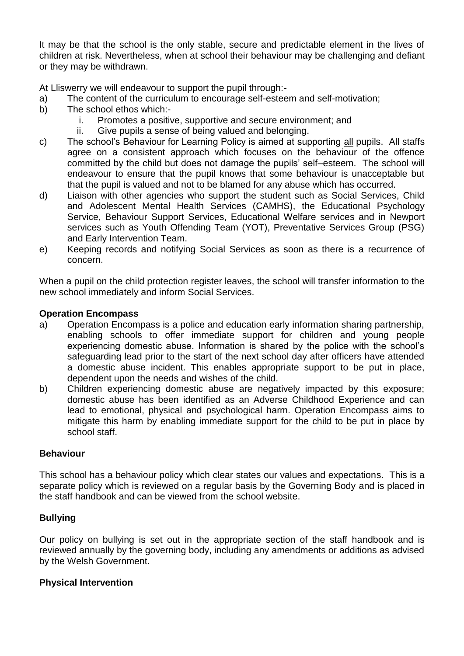It may be that the school is the only stable, secure and predictable element in the lives of children at risk. Nevertheless, when at school their behaviour may be challenging and defiant or they may be withdrawn.

At Lliswerry we will endeavour to support the pupil through:-

- a) The content of the curriculum to encourage self-esteem and self-motivation;
- b) The school ethos which:
	- i. Promotes a positive, supportive and secure environment; and
	- ii. Give pupils a sense of being valued and belonging.
- c) The school's Behaviour for Learning Policy is aimed at supporting all pupils. All staffs agree on a consistent approach which focuses on the behaviour of the offence committed by the child but does not damage the pupils' self–esteem. The school will endeavour to ensure that the pupil knows that some behaviour is unacceptable but that the pupil is valued and not to be blamed for any abuse which has occurred.
- d) Liaison with other agencies who support the student such as Social Services, Child and Adolescent Mental Health Services (CAMHS), the Educational Psychology Service, Behaviour Support Services, Educational Welfare services and in Newport services such as Youth Offending Team (YOT), Preventative Services Group (PSG) and Early Intervention Team.
- e) Keeping records and notifying Social Services as soon as there is a recurrence of concern.

When a pupil on the child protection register leaves, the school will transfer information to the new school immediately and inform Social Services.

### **Operation Encompass**

- a) Operation Encompass is a police and education early information sharing partnership, enabling schools to offer immediate support for children and young people experiencing domestic abuse. Information is shared by the police with the school's safeguarding lead prior to the start of the next school day after officers have attended a domestic abuse incident. This enables appropriate support to be put in place, dependent upon the needs and wishes of the child.
- b) Children experiencing domestic abuse are negatively impacted by this exposure; domestic abuse has been identified as an Adverse Childhood Experience and can lead to emotional, physical and psychological harm. Operation Encompass aims to mitigate this harm by enabling immediate support for the child to be put in place by school staff.

#### **Behaviour**

This school has a behaviour policy which clear states our values and expectations. This is a separate policy which is reviewed on a regular basis by the Governing Body and is placed in the staff handbook and can be viewed from the school website.

# **Bullying**

Our policy on bullying is set out in the appropriate section of the staff handbook and is reviewed annually by the governing body, including any amendments or additions as advised by the Welsh Government.

#### **Physical Intervention**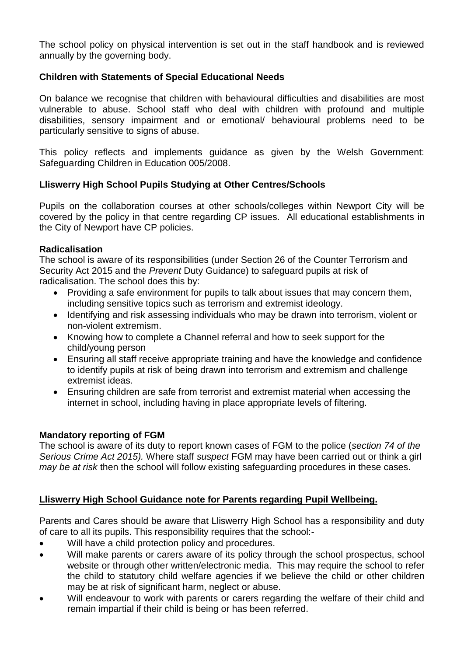The school policy on physical intervention is set out in the staff handbook and is reviewed annually by the governing body.

# **Children with Statements of Special Educational Needs**

On balance we recognise that children with behavioural difficulties and disabilities are most vulnerable to abuse. School staff who deal with children with profound and multiple disabilities, sensory impairment and or emotional/ behavioural problems need to be particularly sensitive to signs of abuse.

This policy reflects and implements guidance as given by the Welsh Government: Safeguarding Children in Education 005/2008.

# **Lliswerry High School Pupils Studying at Other Centres/Schools**

Pupils on the collaboration courses at other schools/colleges within Newport City will be covered by the policy in that centre regarding CP issues. All educational establishments in the City of Newport have CP policies.

# **Radicalisation**

The school is aware of its responsibilities (under Section 26 of the Counter Terrorism and Security Act 2015 and the *Prevent* Duty Guidance) to safeguard pupils at risk of radicalisation. The school does this by:

- Providing a safe environment for pupils to talk about issues that may concern them, including sensitive topics such as terrorism and extremist ideology.
- Identifying and risk assessing individuals who may be drawn into terrorism, violent or non-violent extremism.
- Knowing how to complete a Channel referral and how to seek support for the child/young person
- Ensuring all staff receive appropriate training and have the knowledge and confidence to identify pupils at risk of being drawn into terrorism and extremism and challenge extremist ideas.
- Ensuring children are safe from terrorist and extremist material when accessing the internet in school, including having in place appropriate levels of filtering.

# **Mandatory reporting of FGM**

The school is aware of its duty to report known cases of FGM to the police (*section 74 of the Serious Crime Act 2015).* Where staff *suspect* FGM may have been carried out or think a girl *may be at risk* then the school will follow existing safeguarding procedures in these cases.

# **Lliswerry High School Guidance note for Parents regarding Pupil Wellbeing.**

Parents and Cares should be aware that Lliswerry High School has a responsibility and duty of care to all its pupils. This responsibility requires that the school:-

- Will have a child protection policy and procedures.
- Will make parents or carers aware of its policy through the school prospectus, school website or through other written/electronic media. This may require the school to refer the child to statutory child welfare agencies if we believe the child or other children may be at risk of significant harm, neglect or abuse.
- Will endeavour to work with parents or carers regarding the welfare of their child and remain impartial if their child is being or has been referred.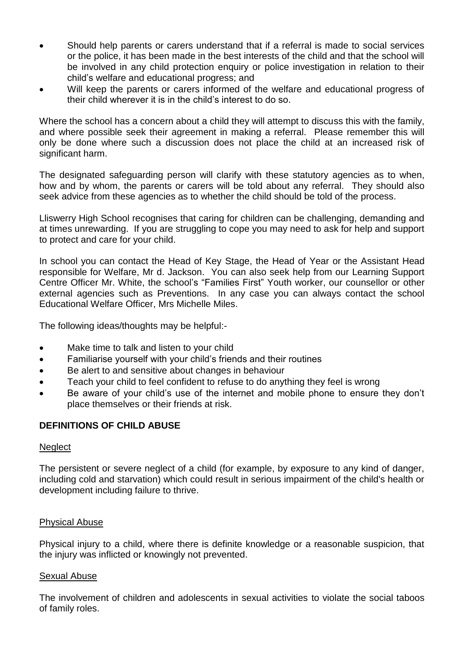- Should help parents or carers understand that if a referral is made to social services or the police, it has been made in the best interests of the child and that the school will be involved in any child protection enquiry or police investigation in relation to their child's welfare and educational progress; and
- Will keep the parents or carers informed of the welfare and educational progress of their child wherever it is in the child's interest to do so.

Where the school has a concern about a child they will attempt to discuss this with the family, and where possible seek their agreement in making a referral. Please remember this will only be done where such a discussion does not place the child at an increased risk of significant harm.

The designated safeguarding person will clarify with these statutory agencies as to when, how and by whom, the parents or carers will be told about any referral. They should also seek advice from these agencies as to whether the child should be told of the process.

Lliswerry High School recognises that caring for children can be challenging, demanding and at times unrewarding. If you are struggling to cope you may need to ask for help and support to protect and care for your child.

In school you can contact the Head of Key Stage, the Head of Year or the Assistant Head responsible for Welfare, Mr d. Jackson. You can also seek help from our Learning Support Centre Officer Mr. White, the school's "Families First" Youth worker, our counsellor or other external agencies such as Preventions. In any case you can always contact the school Educational Welfare Officer, Mrs Michelle Miles.

The following ideas/thoughts may be helpful:-

- Make time to talk and listen to your child
- Familiarise yourself with your child's friends and their routines
- Be alert to and sensitive about changes in behaviour
- Teach your child to feel confident to refuse to do anything they feel is wrong
- Be aware of your child's use of the internet and mobile phone to ensure they don't place themselves or their friends at risk.

#### **DEFINITIONS OF CHILD ABUSE**

#### **Neglect**

The persistent or severe neglect of a child (for example, by exposure to any kind of danger, including cold and starvation) which could result in serious impairment of the child's health or development including failure to thrive.

#### Physical Abuse

Physical injury to a child, where there is definite knowledge or a reasonable suspicion, that the injury was inflicted or knowingly not prevented.

#### Sexual Abuse

The involvement of children and adolescents in sexual activities to violate the social taboos of family roles.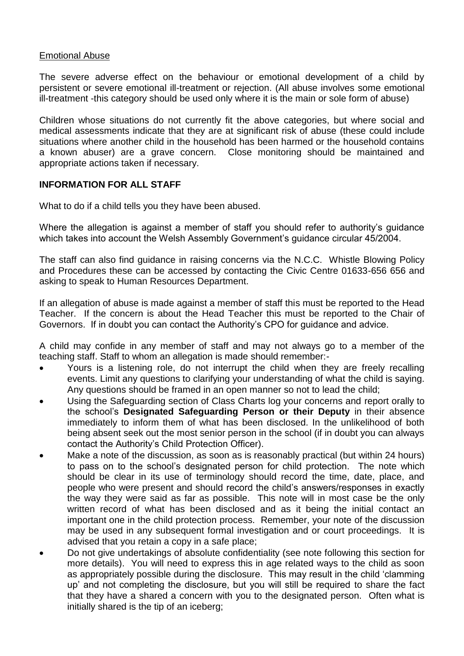#### Emotional Abuse

The severe adverse effect on the behaviour or emotional development of a child by persistent or severe emotional ill-treatment or rejection. (All abuse involves some emotional ill-treatment -this category should be used only where it is the main or sole form of abuse)

Children whose situations do not currently fit the above categories, but where social and medical assessments indicate that they are at significant risk of abuse (these could include situations where another child in the household has been harmed or the household contains a known abuser) are a grave concern. Close monitoring should be maintained and appropriate actions taken if necessary.

#### **INFORMATION FOR ALL STAFF**

What to do if a child tells you they have been abused.

Where the allegation is against a member of staff you should refer to authority's guidance which takes into account the Welsh Assembly Government's guidance circular 45/2004.

The staff can also find guidance in raising concerns via the N.C.C. Whistle Blowing Policy and Procedures these can be accessed by contacting the Civic Centre 01633-656 656 and asking to speak to Human Resources Department.

If an allegation of abuse is made against a member of staff this must be reported to the Head Teacher. If the concern is about the Head Teacher this must be reported to the Chair of Governors. If in doubt you can contact the Authority's CPO for guidance and advice.

A child may confide in any member of staff and may not always go to a member of the teaching staff. Staff to whom an allegation is made should remember:-

- Yours is a listening role, do not interrupt the child when they are freely recalling events. Limit any questions to clarifying your understanding of what the child is saying. Any questions should be framed in an open manner so not to lead the child;
- Using the Safeguarding section of Class Charts log your concerns and report orally to the school's **Designated Safeguarding Person or their Deputy** in their absence immediately to inform them of what has been disclosed. In the unlikelihood of both being absent seek out the most senior person in the school (if in doubt you can always contact the Authority's Child Protection Officer).
- Make a note of the discussion, as soon as is reasonably practical (but within 24 hours) to pass on to the school's designated person for child protection. The note which should be clear in its use of terminology should record the time, date, place, and people who were present and should record the child's answers/responses in exactly the way they were said as far as possible. This note will in most case be the only written record of what has been disclosed and as it being the initial contact an important one in the child protection process. Remember, your note of the discussion may be used in any subsequent formal investigation and or court proceedings. It is advised that you retain a copy in a safe place;
- Do not give undertakings of absolute confidentiality (see note following this section for more details). You will need to express this in age related ways to the child as soon as appropriately possible during the disclosure. This may result in the child 'clamming up' and not completing the disclosure, but you will still be required to share the fact that they have a shared a concern with you to the designated person. Often what is initially shared is the tip of an iceberg;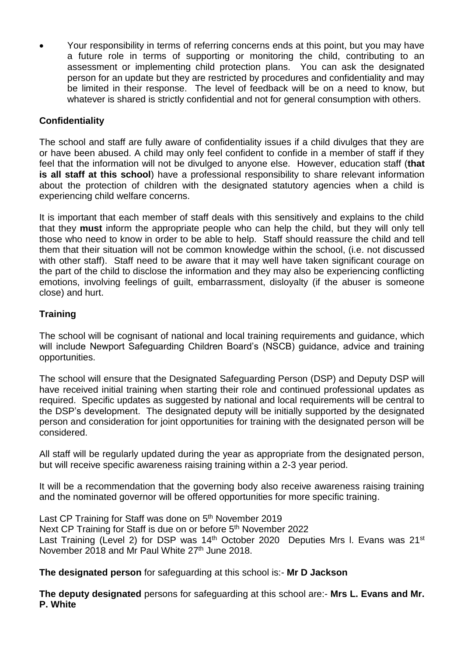• Your responsibility in terms of referring concerns ends at this point, but you may have a future role in terms of supporting or monitoring the child, contributing to an assessment or implementing child protection plans. You can ask the designated person for an update but they are restricted by procedures and confidentiality and may be limited in their response. The level of feedback will be on a need to know, but whatever is shared is strictly confidential and not for general consumption with others.

# **Confidentiality**

The school and staff are fully aware of confidentiality issues if a child divulges that they are or have been abused. A child may only feel confident to confide in a member of staff if they feel that the information will not be divulged to anyone else. However, education staff (**that is all staff at this school**) have a professional responsibility to share relevant information about the protection of children with the designated statutory agencies when a child is experiencing child welfare concerns.

It is important that each member of staff deals with this sensitively and explains to the child that they **must** inform the appropriate people who can help the child, but they will only tell those who need to know in order to be able to help. Staff should reassure the child and tell them that their situation will not be common knowledge within the school, (i.e. not discussed with other staff). Staff need to be aware that it may well have taken significant courage on the part of the child to disclose the information and they may also be experiencing conflicting emotions, involving feelings of guilt, embarrassment, disloyalty (if the abuser is someone close) and hurt.

# **Training**

The school will be cognisant of national and local training requirements and guidance, which will include Newport Safeguarding Children Board's (NSCB) guidance, advice and training opportunities.

The school will ensure that the Designated Safeguarding Person (DSP) and Deputy DSP will have received initial training when starting their role and continued professional updates as required. Specific updates as suggested by national and local requirements will be central to the DSP's development. The designated deputy will be initially supported by the designated person and consideration for joint opportunities for training with the designated person will be considered.

All staff will be regularly updated during the year as appropriate from the designated person, but will receive specific awareness raising training within a 2-3 year period.

It will be a recommendation that the governing body also receive awareness raising training and the nominated governor will be offered opportunities for more specific training.

Last CP Training for Staff was done on 5<sup>th</sup> November 2019 Next CP Training for Staff is due on or before 5<sup>th</sup> November 2022 Last Training (Level 2) for DSP was  $14<sup>th</sup>$  October 2020 Deputies Mrs I. Evans was  $21<sup>st</sup>$ November 2018 and Mr Paul White 27<sup>th</sup> June 2018.

**The designated person** for safeguarding at this school is:- **Mr D Jackson**

**The deputy designated** persons for safeguarding at this school are:- **Mrs L. Evans and Mr. P. White**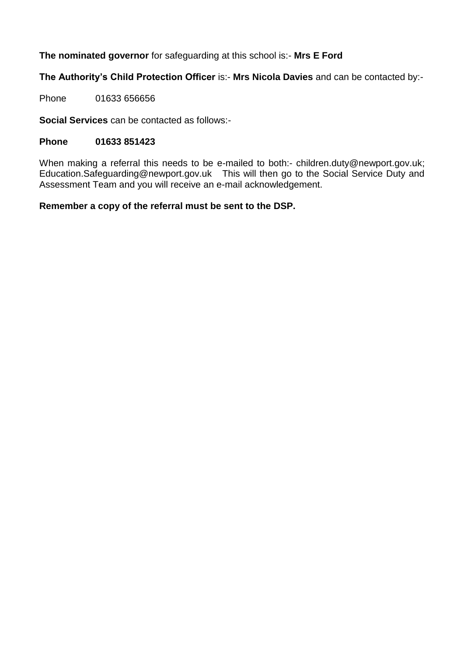# **The nominated governor** for safeguarding at this school is:- **Mrs E Ford**

# **The Authority's Child Protection Officer** is:- **Mrs Nicola Davies** and can be contacted by:-

Phone 01633 656656

**Social Services** can be contacted as follows:-

#### **Phone 01633 851423**

When making a referral this needs to be e-mailed to both:- [children.duty@newport.gov.uk;](mailto:children.duty@newport.gov.uk) Education.Safeguarding@newport.gov.uk This will then go to the Social Service Duty and Assessment Team and you will receive an e-mail acknowledgement.

#### **Remember a copy of the referral must be sent to the DSP.**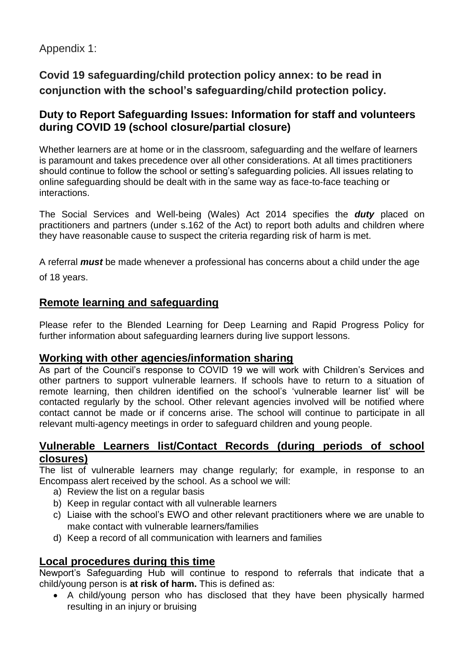# Appendix 1:

# **Covid 19 safeguarding/child protection policy annex: to be read in conjunction with the school's safeguarding/child protection policy.**

# **Duty to Report Safeguarding Issues: Information for staff and volunteers during COVID 19 (school closure/partial closure)**

Whether learners are at home or in the classroom, safeguarding and the welfare of learners is paramount and takes precedence over all other considerations. At all times practitioners should continue to follow the school or setting's safeguarding policies. All issues relating to online safeguarding should be dealt with in the same way as face-to-face teaching or interactions.

The Social Services and Well-being (Wales) Act 2014 specifies the *duty* placed on practitioners and partners (under s.162 of the Act) to report both adults and children where they have reasonable cause to suspect the criteria regarding risk of harm is met.

A referral *must* be made whenever a professional has concerns about a child under the age

of 18 years.

# **Remote learning and safeguarding**

Please refer to the Blended Learning for Deep Learning and Rapid Progress Policy for further information about safeguarding learners during live support lessons.

# **Working with other agencies/information sharing**

As part of the Council's response to COVID 19 we will work with Children's Services and other partners to support vulnerable learners. If schools have to return to a situation of remote learning, then children identified on the school's 'vulnerable learner list' will be contacted regularly by the school. Other relevant agencies involved will be notified where contact cannot be made or if concerns arise. The school will continue to participate in all relevant multi-agency meetings in order to safeguard children and young people.

# **Vulnerable Learners list/Contact Records (during periods of school closures)**

The list of vulnerable learners may change regularly; for example, in response to an Encompass alert received by the school. As a school we will:

- a) Review the list on a regular basis
- b) Keep in regular contact with all vulnerable learners
- c) Liaise with the school's EWO and other relevant practitioners where we are unable to make contact with vulnerable learners/families
- d) Keep a record of all communication with learners and families

# **Local procedures during this time**

Newport's Safeguarding Hub will continue to respond to referrals that indicate that a child/young person is **at risk of harm.** This is defined as:

• A child/young person who has disclosed that they have been physically harmed resulting in an injury or bruising